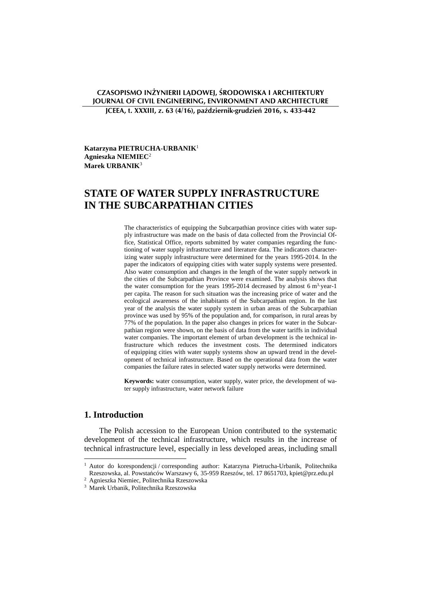## **CZASOPISMO INŻYNIERII LĄDOWEJ, ŚRODOWISKA I ARCHITEKTURY JOURNAL OF CIVIL ENGINEERING, ENVIRONMENT AND ARCHITECTURE JCEEA, t. XXXIII, z. 63 (4/16), październik-grudzień 2016, s. 433-442**

**Katarzyna PIETRUCHA-URBANIK**<sup>1</sup> **Agnieszka NIEMIEC**<sup>2</sup> **Marek URBANIK**<sup>3</sup>

# **STATE OF WATER SUPPLY INFRASTRUCTURE IN THE SUBCARPATHIAN CITIES**

The characteristics of equipping the Subcarpathian province cities with water supply infrastructure was made on the basis of data collected from the Provincial Office, Statistical Office, reports submitted by water companies regarding the functioning of water supply infrastructure and literature data. The indicators characterizing water supply infrastructure were determined for the years 1995-2014. In the paper the indicators of equipping cities with water supply systems were presented. Also water consumption and changes in the length of the water supply network in the cities of the Subcarpathian Province were examined. The analysis shows that the water consumption for the years 1995-2014 decreased by almost  $6 \text{ m}^3$ -year-1 per capita. The reason for such situation was the increasing price of water and the ecological awareness of the inhabitants of the Subcarpathian region. In the last year of the analysis the water supply system in urban areas of the Subcarpathian province was used by 95% of the population and, for comparison, in rural areas by 77% of the population. In the paper also changes in prices for water in the Subcarpathian region were shown, on the basis of data from the water tariffs in individual water companies. The important element of urban development is the technical infrastructure which reduces the investment costs. The determined indicators of equipping cities with water supply systems show an upward trend in the development of technical infrastructure. Based on the operational data from the water companies the failure rates in selected water supply networks were determined.

**Keywords:** water consumption, water supply, water price, the development of water supply infrastructure, water network failure

# **1. Introduction**

The Polish accession to the European Union contributed to the systematic development of the technical infrastructure, which results in the increase of technical infrastructure level, especially in less developed areas, including small

 1 Autor do korespondencji / corresponding author: Katarzyna Pietrucha-Urbanik, Politechnika Rzeszowska, al. Powstańców Warszawy 6, 35-959 Rzeszów, tel. 17 8651703, kpiet@prz.edu.pl

<sup>2</sup> Agnieszka Niemiec, Politechnika Rzeszowska

<sup>3</sup> Marek Urbanik, Politechnika Rzeszowska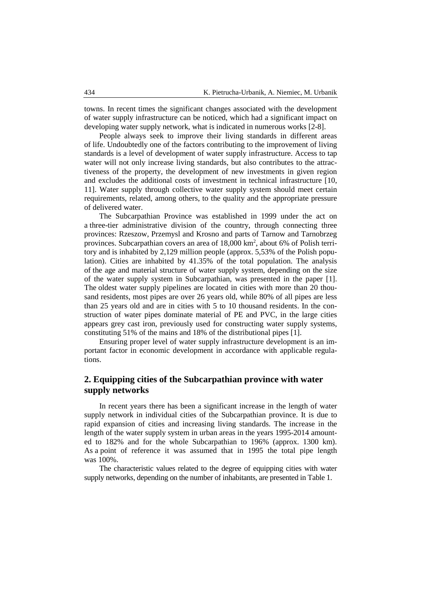towns. In recent times the significant changes associated with the development of water supply infrastructure can be noticed, which had a significant impact on developing water supply network, what is indicated in numerous works [2-8].

People always seek to improve their living standards in different areas of life. Undoubtedly one of the factors contributing to the improvement of living standards is a level of development of water supply infrastructure. Access to tap water will not only increase living standards, but also contributes to the attractiveness of the property, the development of new investments in given region and excludes the additional costs of investment in technical infrastructure [10, 11]. Water supply through collective water supply system should meet certain requirements, related, among others, to the quality and the appropriate pressure of delivered water.

The Subcarpathian Province was established in 1999 under the act on a three-tier administrative division of the country, through connecting three provinces: Rzeszow, Przemysl and Krosno and parts of Tarnow and Tarnobrzeg provinces. Subcarpathian covers an area of 18,000 km<sup>2</sup>, about 6% of Polish territory and is inhabited by 2,129 million people (approx. 5,53% of the Polish population). Cities are inhabited by 41.35% of the total population. The analysis of the age and material structure of water supply system, depending on the size of the water supply system in Subcarpathian, was presented in the paper [1]. The oldest water supply pipelines are located in cities with more than 20 thousand residents, most pipes are over 26 years old, while 80% of all pipes are less than 25 years old and are in cities with 5 to 10 thousand residents. In the construction of water pipes dominate material of PE and PVC, in the large cities appears grey cast iron, previously used for constructing water supply systems, constituting 51% of the mains and 18% of the distributional pipes [1].

Ensuring proper level of water supply infrastructure development is an important factor in economic development in accordance with applicable regulations.

# **2. Equipping cities of the Subcarpathian province with water supply networks**

In recent years there has been a significant increase in the length of water supply network in individual cities of the Subcarpathian province. It is due to rapid expansion of cities and increasing living standards. The increase in the length of the water supply system in urban areas in the years 1995-2014 amounted to 182% and for the whole Subcarpathian to 196% (approx. 1300 km). As a point of reference it was assumed that in 1995 the total pipe length was 100%.

The characteristic values related to the degree of equipping cities with water supply networks, depending on the number of inhabitants, are presented in Table 1.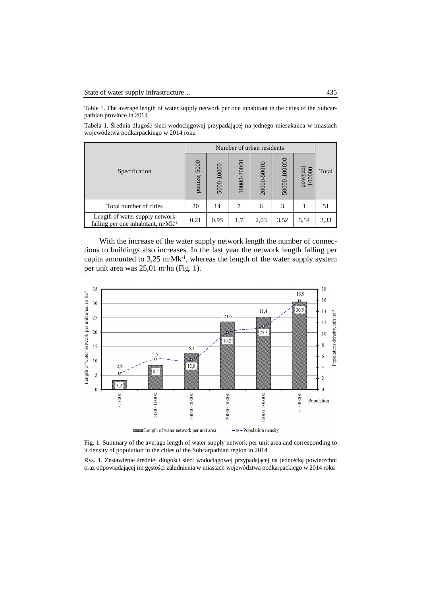Table 1. The average length of water supply network per one inhabitant in the cities of the Subcarpathian province in 2014

Tabela 1. Średnia długość sieci wodociągowej przypadającej na jednego mieszkańca w miastach województwa podkarpackiego w 2014 roku

|                                                                                  | Number of urban residents |            |             |             |              |                   |       |
|----------------------------------------------------------------------------------|---------------------------|------------|-------------|-------------|--------------|-------------------|-------|
| Specification                                                                    | 5000<br>poniżej           | 5000-10000 | 10000-20000 | 20000-50000 | 50000-100000 | powyżej<br>100000 | Total |
| Total number of cities                                                           | 20                        | 14         | 7           | 6           | 3            |                   | 51    |
| Length of water supply network<br>falling per one inhabitant, m·Mk <sup>-1</sup> | 0,21                      | 0,95       | 1,7         | 2,03        | 3,52         | 5,54              | 2,33  |

With the increase of the water supply network length the number of connections to buildings also increases. In the last year the network length falling per capita amounted to  $3.25 \text{ m} \cdot \text{M} \text{k}^{-1}$ , whereas the length of the water supply system per unit area was 25,01 m·ha (Fig. 1).



Fig. 1. Summary of the average length of water supply network per unit area and corresponding to it density of population in the cities of the Subcarpathian region in 2014

Rys. 1. Zestawienie średniej długości sieci wodociągowej przypadającej na jednostkę powierzchni oraz odpowiadającej im gęstości zaludnienia w miastach województwa podkarpackiego w 2014 roku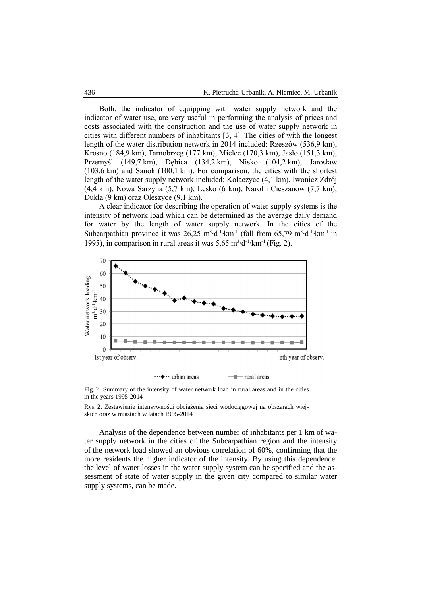Both, the indicator of equipping with water supply network and the indicator of water use, are very useful in performing the analysis of prices and costs associated with the construction and the use of water supply network in cities with different numbers of inhabitants [3, 4]. The cities of with the longest length of the water distribution network in 2014 included: Rzeszów (536,9 km), Krosno (184,9 km), Tarnobrzeg (177 km), Mielec (170,3 km), Jasło (151,3 km), Przemyśl (149,7 km), Dębica (134,2 km), Nisko (104,2 km), Jarosław (103,6 km) and Sanok (100,1 km). For comparison, the cities with the shortest length of the water supply network included: Kołaczyce (4,1 km), Iwonicz Zdrój (4,4 km), Nowa Sarzyna (5,7 km), Lesko (6 km), Narol i Cieszanów (7,7 km), Dukla (9 km) oraz Oleszyce (9,1 km).

A clear indicator for describing the operation of water supply systems is the intensity of network load which can be determined as the average daily demand for water by the length of water supply network. In the cities of the Subcarpathian province it was  $26,25 \text{ m}^3 \cdot d^{-1} \cdot \text{km}^{-1}$  (fall from 65,79 m<sup>3</sup> $\cdot d^{-1} \cdot \text{km}^{-1}$  in 1995), in comparison in rural areas it was  $5{,}65 \text{ m}^3 \text{·d}^{-1} \text{·km}^{-1}$  (Fig. 2).



Fig. 2. Summary of the intensity of water network load in rural areas and in the cities in the years 1995-2014

Rys. 2. Zestawienie intensywności obciążenia sieci wodociągowej na obszarach wiejskich oraz w miastach w latach 1995-2014

Analysis of the dependence between number of inhabitants per 1 km of water supply network in the cities of the Subcarpathian region and the intensity of the network load showed an obvious correlation of 60%, confirming that the more residents the higher indicator of the intensity. By using this dependence, the level of water losses in the water supply system can be specified and the assessment of state of water supply in the given city compared to similar water supply systems, can be made.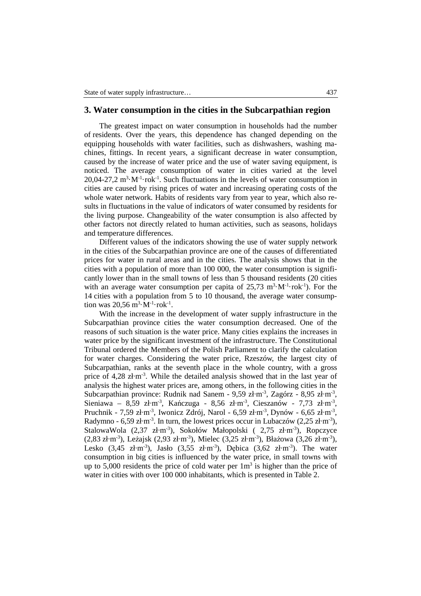### **3. Water consumption in the cities in the Subcarpathian region**

The greatest impact on water consumption in households had the number of residents. Over the years, this dependence has changed depending on the equipping households with water facilities, such as dishwashers, washing machines, fittings. In recent years, a significant decrease in water consumption, caused by the increase of water price and the use of water saving equipment, is noticed. The average consumption of water in cities varied at the level  $20,04-27,2 \text{ m}^3 \cdot \text{M}^{-1} \cdot \text{rok}^{-1}$ . Such fluctuations in the levels of water consumption in cities are caused by rising prices of water and increasing operating costs of the whole water network. Habits of residents vary from year to year, which also results in fluctuations in the value of indicators of water consumed by residents for the living purpose. Changeability of the water consumption is also affected by other factors not directly related to human activities, such as seasons, holidays and temperature differences.

Different values of the indicators showing the use of water supply network in the cities of the Subcarpathian province are one of the causes of differentiated prices for water in rural areas and in the cities. The analysis shows that in the cities with a population of more than 100 000, the water consumption is significantly lower than in the small towns of less than 5 thousand residents (20 cities with an average water consumption per capita of  $25.73 \text{ m}^3 \cdot \text{M}^{-1} \cdot \text{rok}^{-1}$ ). For the 14 cities with a population from 5 to 10 thousand, the average water consumption was  $20,56 \text{ m}^3 \cdot \text{M}^{-1} \cdot \text{rok}^{-1}$ .

With the increase in the development of water supply infrastructure in the Subcarpathian province cities the water consumption decreased. One of the reasons of such situation is the water price. Many cities explains the increases in water price by the significant investment of the infrastructure. The Constitutional Tribunal ordered the Members of the Polish Parliament to clarify the calculation for water charges. Considering the water price, Rzeszów, the largest city of Subcarpathian, ranks at the seventh place in the whole country, with a gross price of 4,28 zł·m<sup>-3</sup>. While the detailed analysis showed that in the last year of analysis the highest water prices are, among others, in the following cities in the Subcarpathian province: Rudnik nad Sanem - 9,59 zł·m<sup>-3</sup>, Zagórz - 8,95 zł·m<sup>-3</sup>, Sieniawa – 8,59 zł·m<sup>-3</sup>, Kańczuga - 8,56 zł·m<sup>-3</sup>, Cieszanów - 7,73 zł·m<sup>-3</sup>, Pruchnik - 7,59 zł·m<sup>-3</sup>, Iwonicz Zdrój, Narol - 6,59 zł·m<sup>-3</sup>, Dynów - 6,65 zł·m<sup>-3</sup>, Radymno - 6,59 zł·m<sup>-3</sup>. In turn, the lowest prices occur in Lubaczów (2,25 zł·m<sup>-3</sup>), StalowaWola (2,37 zł·m-3), Sokołów Małopolski ( 2,75 zł·m-3), Ropczyce  $(2.83 \text{ zt} \cdot \text{m}^3)$ , Leżajsk  $(2.93 \text{ zt} \cdot \text{m}^3)$ , Mielec  $(3.25 \text{ zt} \cdot \text{m}^3)$ , Błażowa  $(3.26 \text{ zt} \cdot \text{m}^3)$ , Lesko  $(3,45 \text{ zt} \cdot \text{m}^{-3})$ , Jasło  $(3,55 \text{ zt} \cdot \text{m}^{-3})$ , Dębica  $(3,62 \text{ zt} \cdot \text{m}^{-3})$ . The water consumption in big cities is influenced by the water price, in small towns with up to 5,000 residents the price of cold water per  $1m<sup>3</sup>$  is higher than the price of water in cities with over 100 000 inhabitants, which is presented in Table 2.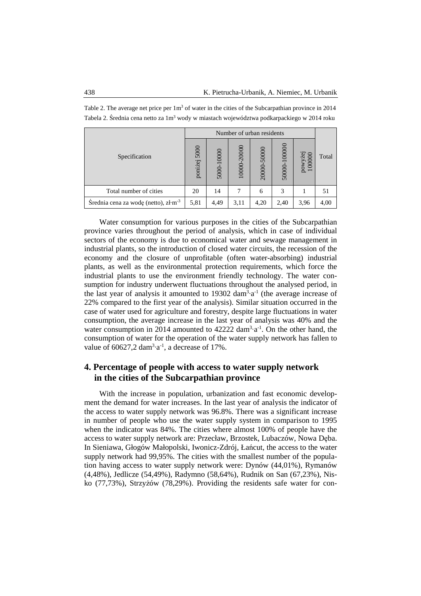|                                          | Number of urban residents |            |             |             |              |                   |       |
|------------------------------------------|---------------------------|------------|-------------|-------------|--------------|-------------------|-------|
| Specification                            | 5000<br>poniżej           | 5000-10000 | 10000-20000 | 20000-50000 | 50000-100000 | powyżej<br>100000 | Total |
| Total number of cities                   | 20                        | 14         | 7           | 6           | 3            |                   | 51    |
| Srednia cena za wodę (netto), $z/m^{-3}$ | 5,81                      | 4,49       | 3,11        | 4,20        | 2,40         | 3,96              | 4,00  |

Table 2. The average net price per  $1m<sup>3</sup>$  of water in the cities of the Subcarpathian province in 2014 Tabela 2. Średnia cena netto za 1m<sup>3</sup> wody w miastach województwa podkarpackiego w 2014 roku

Water consumption for various purposes in the cities of the Subcarpathian province varies throughout the period of analysis, which in case of individual sectors of the economy is due to economical water and sewage management in industrial plants, so the introduction of closed water circuits, the recession of the economy and the closure of unprofitable (often water-absorbing) industrial plants, as well as the environmental protection requirements, which force the industrial plants to use the environment friendly technology. The water consumption for industry underwent fluctuations throughout the analysed period, in the last year of analysis it amounted to  $19302 \text{ dam}^3 \cdot a^{-1}$  (the average increase of 22% compared to the first year of the analysis). Similar situation occurred in the case of water used for agriculture and forestry, despite large fluctuations in water consumption, the average increase in the last year of analysis was 40% and the water consumption in 2014 amounted to  $42222 \text{ dam}^3 \cdot a^{-1}$ . On the other hand, the consumption of water for the operation of the water supply network has fallen to value of  $60627,2 \text{ dam}^3 \cdot a^{-1}$ , a decrease of 17%.

# **4. Percentage of people with access to water supply network in the cities of the Subcarpathian province**

With the increase in population, urbanization and fast economic development the demand for water increases. In the last year of analysis the indicator of the access to water supply network was 96.8%. There was a significant increase in number of people who use the water supply system in comparison to 1995 when the indicator was 84%. The cities where almost 100% of people have the access to water supply network are: Przecław, Brzostek, Lubaczów, Nowa Dęba. In Sieniawa, Głogów Małopolski, Iwonicz-Zdrój, Łańcut, the access to the water supply network had 99,95%. The cities with the smallest number of the population having access to water supply network were: Dynów (44,01%), Rymanów (4,48%), Jedlicze (54,49%), Radymno (58,64%), Rudnik on San (67,23%), Nisko (77,73%), Strzyżów (78,29%). Providing the residents safe water for con-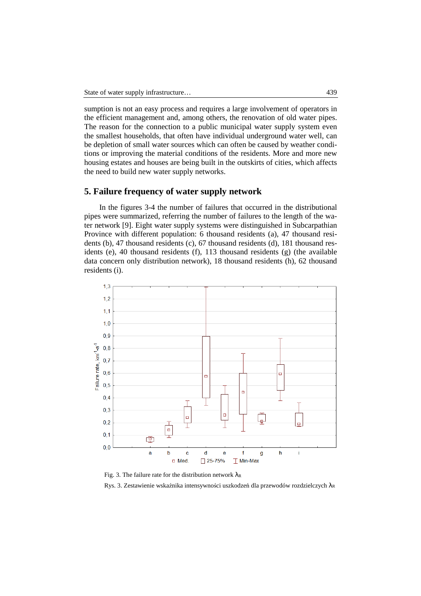sumption is not an easy process and requires a large involvement of operators in the efficient management and, among others, the renovation of old water pipes. The reason for the connection to a public municipal water supply system even the smallest households, that often have individual underground water well, can be depletion of small water sources which can often be caused by weather conditions or improving the material conditions of the residents. More and more new housing estates and houses are being built in the outskirts of cities, which affects the need to build new water supply networks.

## **5. Failure frequency of water supply network**

In the figures 3-4 the number of failures that occurred in the distributional pipes were summarized, referring the number of failures to the length of the water network [9]. Eight water supply systems were distinguished in Subcarpathian Province with different population: 6 thousand residents (a), 47 thousand residents (b), 47 thousand residents (c), 67 thousand residents (d), 181 thousand residents (e), 40 thousand residents (f), 113 thousand residents (g) (the available data concern only distribution network), 18 thousand residents (h), 62 thousand residents (i).



Fig. 3. The failure rate for the distribution network  $\lambda_R$ 

Rys. 3. Zestawienie wskaźnika intensywności uszkodzeń dla przewodów rozdzielczych λ<sub>R</sub>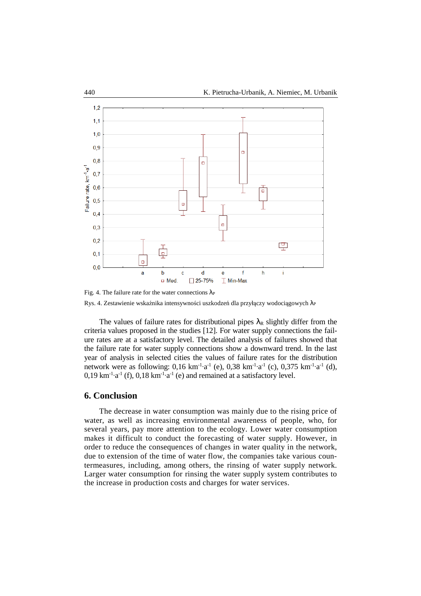

Fig. 4. The failure rate for the water connections  $\lambda_P$ Rys. 4. Zestawienie wskaźnika intensywności uszkodzeń dla przyłączy wodociągowych λε

The values of failure rates for distributional pipes  $\lambda_R$  slightly differ from the criteria values proposed in the studies [12]. For water supply connections the failure rates are at a satisfactory level. The detailed analysis of failures showed that the failure rate for water supply connections show a downward trend. In the last year of analysis in selected cities the values of failure rates for the distribution network were as following:  $0,16 \text{ km}^{-1} \cdot a^{-1}$  (e),  $0,38 \text{ km}^{-1} \cdot a^{-1}$  (c),  $0,375 \text{ km}^{-1} \cdot a^{-1}$  (d),  $0,19 \text{ km}^{-1} \cdot a^{-1}$  (f),  $0,18 \text{ km}^{-1} \cdot a^{-1}$  (e) and remained at a satisfactory level.

#### **6. Conclusion**

 The decrease in water consumption was mainly due to the rising price of water, as well as increasing environmental awareness of people, who, for several years, pay more attention to the ecology. Lower water consumption makes it difficult to conduct the forecasting of water supply. However, in order to reduce the consequences of changes in water quality in the network, due to extension of the time of water flow, the companies take various countermeasures, including, among others, the rinsing of water supply network. Larger water consumption for rinsing the water supply system contributes to the increase in production costs and charges for water services.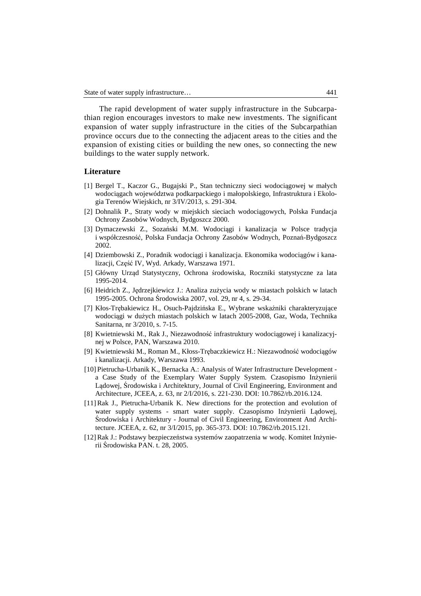The rapid development of water supply infrastructure in the Subcarpathian region encourages investors to make new investments. The significant expansion of water supply infrastructure in the cities of the Subcarpathian province occurs due to the connecting the adjacent areas to the cities and the expansion of existing cities or building the new ones, so connecting the new buildings to the water supply network.

#### **Literature**

- [1] Bergel T., Kaczor G., Bugajski P., Stan techniczny sieci wodociągowej w małych wodociągach województwa podkarpackiego i małopolskiego, Infrastruktura i Ekologia Terenów Wiejskich, nr 3/IV/2013, s. 291-304.
- [2] Dohnalik P., Straty wody w miejskich sieciach wodociągowych, Polska Fundacja Ochrony Zasobów Wodnych, Bydgoszcz 2000.
- [3] Dymaczewski Z., Sozański M.M. Wodociągi i kanalizacja w Polsce tradycja i współczesność, Polska Fundacja Ochrony Zasobów Wodnych, Poznań-Bydgoszcz 2002.
- [4] Dziembowski Z., Poradnik wodociągi i kanalizacja. Ekonomika wodociągów i kanalizacji, Część IV, Wyd. Arkady, Warszawa 1971.
- [5] Główny Urząd Statystyczny, Ochrona środowiska, Roczniki statystyczne za lata 1995-2014.
- [6] Heidrich Z., Jędrzejkiewicz J.: Analiza zużycia wody w miastach polskich w latach 1995-2005. Ochrona Środowiska 2007, vol. 29, nr 4, s. 29-34.
- [7] Kłos-Trębakiewicz H., Osuch-Pajdzińska E., Wybrane wskaźniki charakteryzujące wodociągi w dużych miastach polskich w latach 2005-2008, Gaz, Woda, Technika Sanitarna, nr 3/2010, s. 7-15.
- [8] Kwietniewski M., Rak J., Niezawodność infrastruktury wodociągowej i kanalizacyjnej w Polsce, PAN, Warszawa 2010.
- [9] Kwietniewski M., Roman M., Kłoss-Trębaczkiewicz H.: Niezawodność wodociągów i kanalizacji. Arkady, Warszawa 1993.
- [10] Pietrucha-Urbanik K., Bernacka A.: Analysis of Water Infrastructure Development a Case Study of the Exemplary Water Supply System. Czasopismo Inżynierii Lądowej, Środowiska i Architektury, Journal of Civil Engineering, Environment and Architecture, JCEEA, z. 63, nr 2/I/2016, s. 221-230. DOI: 10.7862/rb.2016.124.
- [11] Rak J., Pietrucha-Urbanik K. New directions for the protection and evolution of water supply systems - smart water supply. Czasopismo Inżynierii Lądowej, Środowiska i Architektury - Journal of Civil Engineering, Environment And Architecture. JCEEA, z. 62, nr 3/I/2015, pp. 365-373. DOI: 10.7862/rb.2015.121.
- [12] Rak J.: Podstawy bezpieczeństwa systemów zaopatrzenia w wodę. Komitet Inżynierii Środowiska PAN. t. 28, 2005.